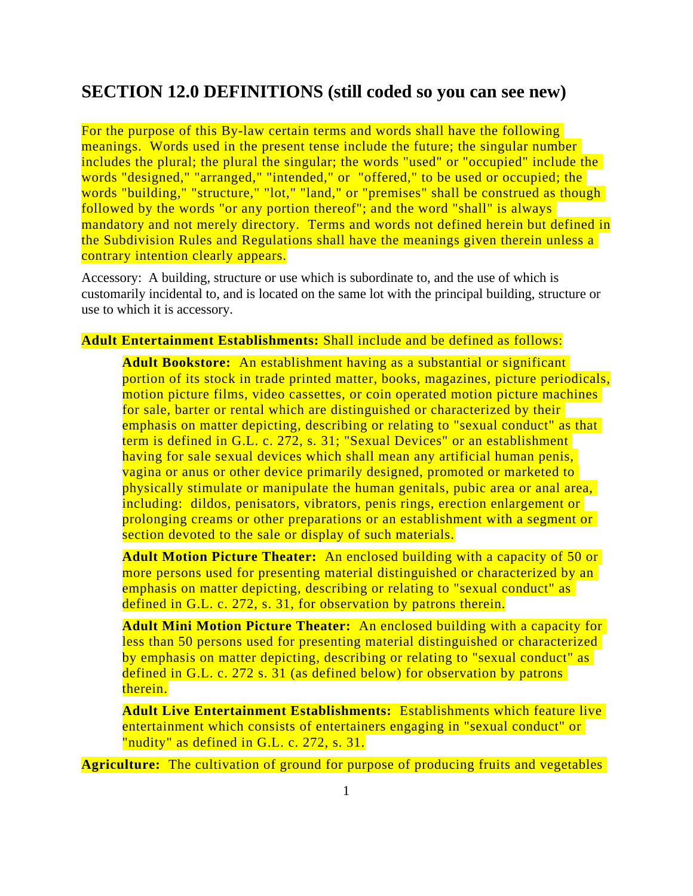# **SECTION 12.0 DEFINITIONS (still coded so you can see new)**

For the purpose of this By-law certain terms and words shall have the following meanings. Words used in the present tense include the future; the singular number includes the plural; the plural the singular; the words "used" or "occupied" include the words "designed," "arranged," "intended," or "offered," to be used or occupied; the words "building," "structure," "lot," "land," or "premises" shall be construed as though followed by the words "or any portion thereof"; and the word "shall" is always mandatory and not merely directory. Terms and words not defined herein but defined in the Subdivision Rules and Regulations shall have the meanings given therein unless a contrary intention clearly appears.

Accessory: A building, structure or use which is subordinate to, and the use of which is customarily incidental to, and is located on the same lot with the principal building, structure or use to which it is accessory.

### **Adult Entertainment Establishments:** Shall include and be defined as follows:

**Adult Bookstore:** An establishment having as a substantial or significant portion of its stock in trade printed matter, books, magazines, picture periodicals, motion picture films, video cassettes, or coin operated motion picture machines for sale, barter or rental which are distinguished or characterized by their emphasis on matter depicting, describing or relating to "sexual conduct" as that term is defined in G.L. c. 272, s. 31; "Sexual Devices" or an establishment having for sale sexual devices which shall mean any artificial human penis, vagina or anus or other device primarily designed, promoted or marketed to physically stimulate or manipulate the human genitals, pubic area or anal area, including: dildos, penisators, vibrators, penis rings, erection enlargement or prolonging creams or other preparations or an establishment with a segment or section devoted to the sale or display of such materials.

**Adult Motion Picture Theater:** An enclosed building with a capacity of 50 or more persons used for presenting material distinguished or characterized by an emphasis on matter depicting, describing or relating to "sexual conduct" as defined in G.L. c. 272, s. 31, for observation by patrons therein.

**Adult Mini Motion Picture Theater:** An enclosed building with a capacity for less than 50 persons used for presenting material distinguished or characterized by emphasis on matter depicting, describing or relating to "sexual conduct" as defined in G.L. c. 272 s. 31 (as defined below) for observation by patrons therein.

**Adult Live Entertainment Establishments:** Establishments which feature live entertainment which consists of entertainers engaging in "sexual conduct" or "nudity" as defined in G.L. c. 272, s. 31.

**Agriculture:** The cultivation of ground for purpose of producing fruits and vegetables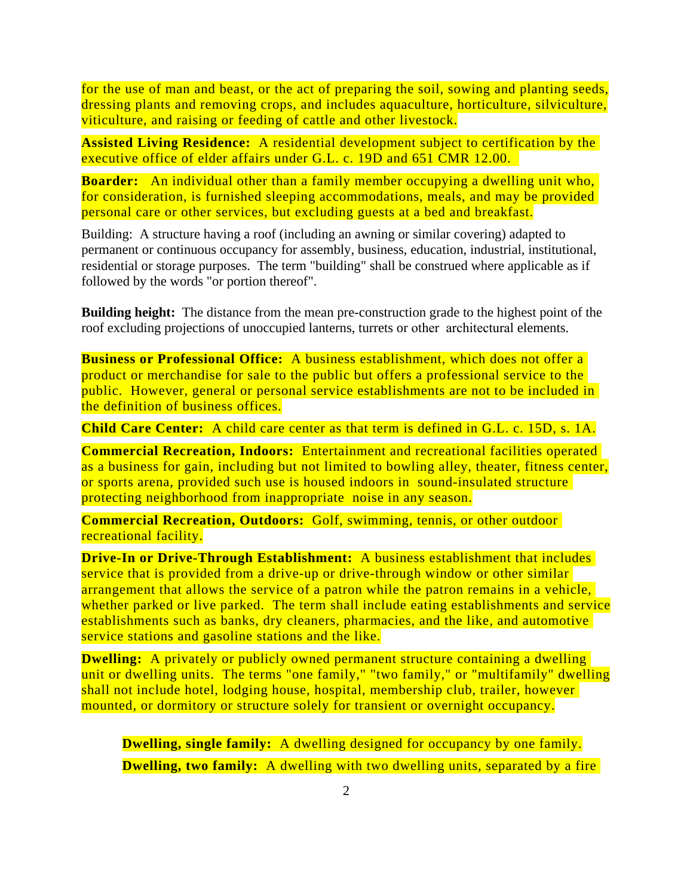for the use of man and beast, or the act of preparing the soil, sowing and planting seeds, dressing plants and removing crops, and includes aquaculture, horticulture, silviculture, viticulture, and raising or feeding of cattle and other livestock.

**Assisted Living Residence:** A residential development subject to certification by the executive office of elder affairs under G.L. c. 19D and 651 CMR 12.00.

**Boarder:** An individual other than a family member occupying a dwelling unit who, for consideration, is furnished sleeping accommodations, meals, and may be provided personal care or other services, but excluding guests at a bed and breakfast.

Building: A structure having a roof (including an awning or similar covering) adapted to permanent or continuous occupancy for assembly, business, education, industrial, institutional, residential or storage purposes. The term "building" shall be construed where applicable as if followed by the words "or portion thereof".

**Building height:** The distance from the mean pre-construction grade to the highest point of the roof excluding projections of unoccupied lanterns, turrets or other architectural elements.

**Business or Professional Office:** A business establishment, which does not offer a product or merchandise for sale to the public but offers a professional service to the public. However, general or personal service establishments are not to be included in the definition of business offices.

**Child Care Center:** A child care center as that term is defined in G.L. c. 15D, s. 1A.

**Commercial Recreation, Indoors:** Entertainment and recreational facilities operated as a business for gain, including but not limited to bowling alley, theater, fitness center, or sports arena, provided such use is housed indoors in sound-insulated structure protecting neighborhood from inappropriate noise in any season.

**Commercial Recreation, Outdoors:** Golf, swimming, tennis, or other outdoor recreational facility.

**Drive-In or Drive-Through Establishment:** A business establishment that includes service that is provided from a drive-up or drive-through window or other similar arrangement that allows the service of a patron while the patron remains in a vehicle, whether parked or live parked. The term shall include eating establishments and service establishments such as banks, dry cleaners, pharmacies, and the like, and automotive service stations and gasoline stations and the like.

**Dwelling:** A privately or publicly owned permanent structure containing a dwelling unit or dwelling units. The terms "one family," "two family," or "multifamily" dwelling shall not include hotel, lodging house, hospital, membership club, trailer, however mounted, or dormitory or structure solely for transient or overnight occupancy.

**Dwelling, single family:** A dwelling designed for occupancy by one family. **Dwelling, two family:** A dwelling with two dwelling units, separated by a fire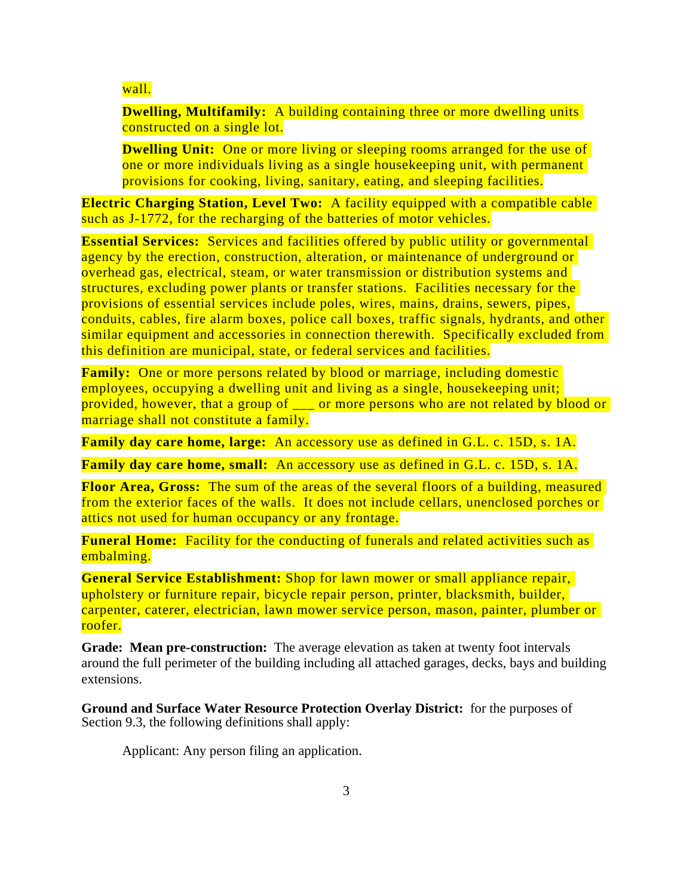# wall.

**Dwelling, Multifamily:** A building containing three or more dwelling units constructed on a single lot.

**Dwelling Unit:** One or more living or sleeping rooms arranged for the use of one or more individuals living as a single housekeeping unit, with permanent provisions for cooking, living, sanitary, eating, and sleeping facilities.

**Electric Charging Station, Level Two:** A facility equipped with a compatible cable such as J-1772, for the recharging of the batteries of motor vehicles.

**Essential Services:** Services and facilities offered by public utility or governmental agency by the erection, construction, alteration, or maintenance of underground or overhead gas, electrical, steam, or water transmission or distribution systems and structures, excluding power plants or transfer stations. Facilities necessary for the provisions of essential services include poles, wires, mains, drains, sewers, pipes, conduits, cables, fire alarm boxes, police call boxes, traffic signals, hydrants, and other similar equipment and accessories in connection therewith. Specifically excluded from this definition are municipal, state, or federal services and facilities.

**Family:** One or more persons related by blood or marriage, including domestic employees, occupying a dwelling unit and living as a single, housekeeping unit; provided, however, that a group of \_\_\_ or more persons who are not related by blood or marriage shall not constitute a family.

**Family day care home, large:** An accessory use as defined in G.L. c. 15D, s. 1A.

**Family day care home, small:** An accessory use as defined in G.L. c. 15D, s. 1A.

**Floor Area, Gross:** The sum of the areas of the several floors of a building, measured from the exterior faces of the walls. It does not include cellars, unenclosed porches or attics not used for human occupancy or any frontage.

**Funeral Home:** Facility for the conducting of funerals and related activities such as embalming.

**General Service Establishment:** Shop for lawn mower or small appliance repair, upholstery or furniture repair, bicycle repair person, printer, blacksmith, builder, carpenter, caterer, electrician, lawn mower service person, mason, painter, plumber or roofer.

**Grade: Mean pre-construction:** The average elevation as taken at twenty foot intervals around the full perimeter of the building including all attached garages, decks, bays and building extensions.

**Ground and Surface Water Resource Protection Overlay District:** for the purposes of Section 9.3, the following definitions shall apply:

Applicant: Any person filing an application.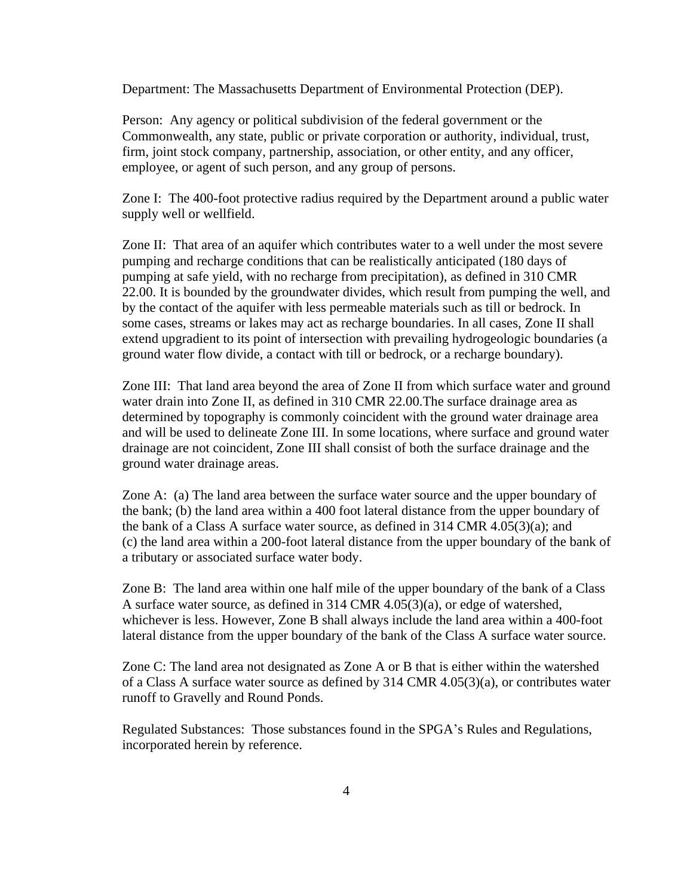Department: The Massachusetts Department of Environmental Protection (DEP).

Person: Any agency or political subdivision of the federal government or the Commonwealth, any state, public or private corporation or authority, individual, trust, firm, joint stock company, partnership, association, or other entity, and any officer, employee, or agent of such person, and any group of persons.

Zone I: The 400-foot protective radius required by the Department around a public water supply well or wellfield.

Zone II: That area of an aquifer which contributes water to a well under the most severe pumping and recharge conditions that can be realistically anticipated (180 days of pumping at safe yield, with no recharge from precipitation), as defined in 310 CMR 22.00. It is bounded by the groundwater divides, which result from pumping the well, and by the contact of the aquifer with less permeable materials such as till or bedrock. In some cases, streams or lakes may act as recharge boundaries. In all cases, Zone II shall extend upgradient to its point of intersection with prevailing hydrogeologic boundaries (a ground water flow divide, a contact with till or bedrock, or a recharge boundary).

Zone III: That land area beyond the area of Zone II from which surface water and ground water drain into Zone II, as defined in 310 CMR 22.00.The surface drainage area as determined by topography is commonly coincident with the ground water drainage area and will be used to delineate Zone III. In some locations, where surface and ground water drainage are not coincident, Zone III shall consist of both the surface drainage and the ground water drainage areas.

Zone A: (a) The land area between the surface water source and the upper boundary of the bank; (b) the land area within a 400 foot lateral distance from the upper boundary of the bank of a Class A surface water source, as defined in 314 CMR 4.05(3)(a); and (c) the land area within a 200-foot lateral distance from the upper boundary of the bank of a tributary or associated surface water body.

Zone B: The land area within one half mile of the upper boundary of the bank of a Class A surface water source, as defined in 314 CMR 4.05(3)(a), or edge of watershed, whichever is less. However, Zone B shall always include the land area within a 400-foot lateral distance from the upper boundary of the bank of the Class A surface water source.

Zone C: The land area not designated as Zone A or B that is either within the watershed of a Class A surface water source as defined by 314 CMR 4.05(3)(a), or contributes water runoff to Gravelly and Round Ponds.

Regulated Substances: Those substances found in the SPGA's Rules and Regulations, incorporated herein by reference.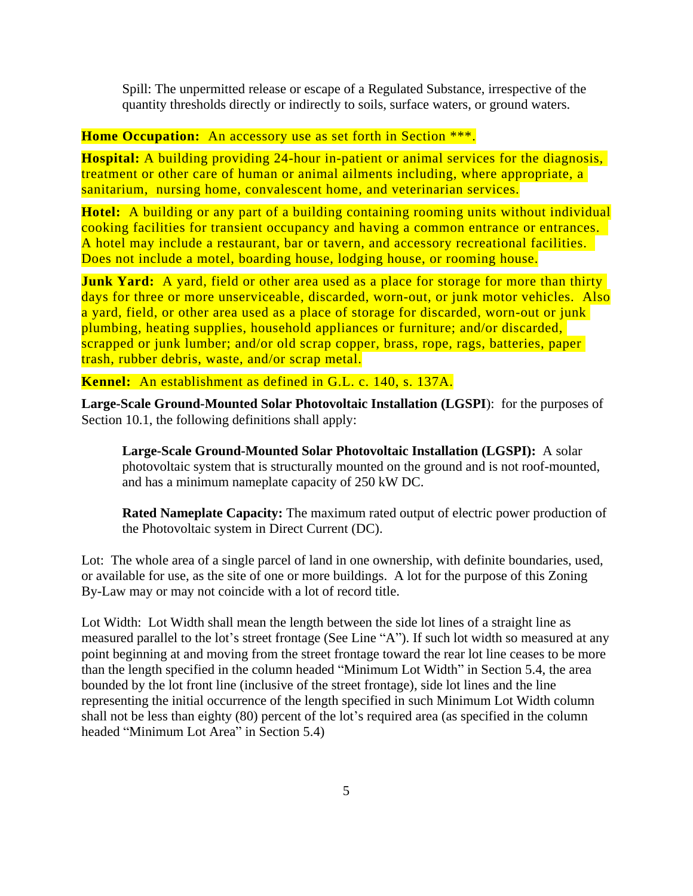Spill: The unpermitted release or escape of a Regulated Substance, irrespective of the quantity thresholds directly or indirectly to soils, surface waters, or ground waters.

# **Home Occupation:** An accessory use as set forth in Section \*\*\*.

**Hospital:** A building providing 24-hour in-patient or animal services for the diagnosis, treatment or other care of human or animal ailments including, where appropriate, a sanitarium, nursing home, convalescent home, and veterinarian services.

**Hotel:** A building or any part of a building containing rooming units without individual cooking facilities for transient occupancy and having a common entrance or entrances. A hotel may include a restaurant, bar or tavern, and accessory recreational facilities. Does not include a motel, boarding house, lodging house, or rooming house.

**Junk Yard:** A yard, field or other area used as a place for storage for more than thirty days for three or more unserviceable, discarded, worn-out, or junk motor vehicles. Also a yard, field, or other area used as a place of storage for discarded, worn-out or junk plumbing, heating supplies, household appliances or furniture; and/or discarded, scrapped or junk lumber; and/or old scrap copper, brass, rope, rags, batteries, paper trash, rubber debris, waste, and/or scrap metal.

**Kennel:** An establishment as defined in G.L. c. 140, s. 137A.

**Large-Scale Ground-Mounted Solar Photovoltaic Installation (LGSPI**): for the purposes of Section 10.1, the following definitions shall apply:

**Large-Scale Ground-Mounted Solar Photovoltaic Installation (LGSPI):** A solar photovoltaic system that is structurally mounted on the ground and is not roof-mounted, and has a minimum nameplate capacity of 250 kW DC.

**Rated Nameplate Capacity:** The maximum rated output of electric power production of the Photovoltaic system in Direct Current (DC).

Lot: The whole area of a single parcel of land in one ownership, with definite boundaries, used, or available for use, as the site of one or more buildings. A lot for the purpose of this Zoning By-Law may or may not coincide with a lot of record title.

Lot Width: Lot Width shall mean the length between the side lot lines of a straight line as measured parallel to the lot's street frontage (See Line "A"). If such lot width so measured at any point beginning at and moving from the street frontage toward the rear lot line ceases to be more than the length specified in the column headed "Minimum Lot Width" in Section 5.4, the area bounded by the lot front line (inclusive of the street frontage), side lot lines and the line representing the initial occurrence of the length specified in such Minimum Lot Width column shall not be less than eighty (80) percent of the lot's required area (as specified in the column headed "Minimum Lot Area" in Section 5.4)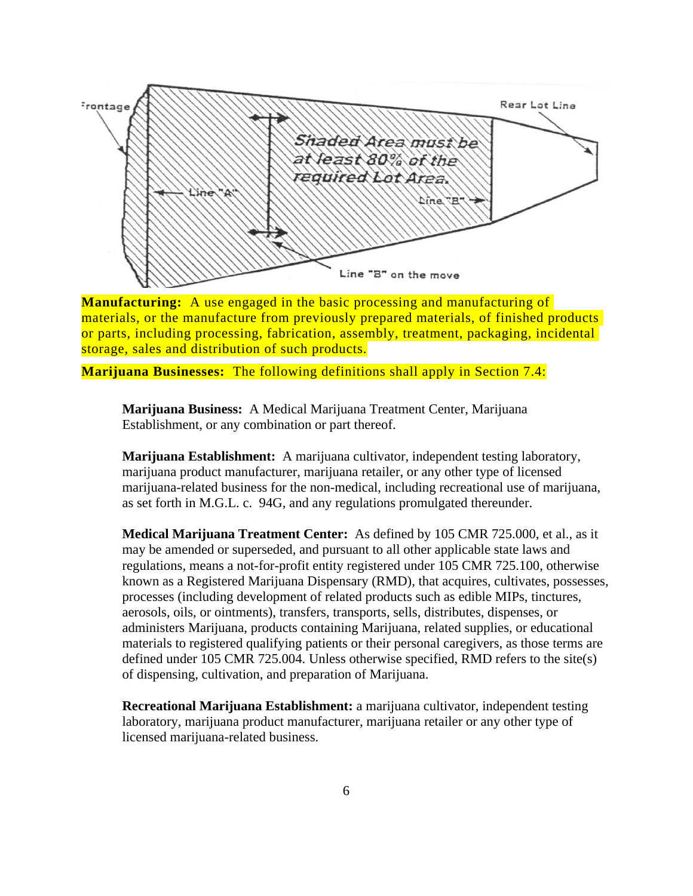

**Manufacturing:** A use engaged in the basic processing and manufacturing of materials, or the manufacture from previously prepared materials, of finished products or parts, including processing, fabrication, assembly, treatment, packaging, incidental storage, sales and distribution of such products.

**Marijuana Businesses:** The following definitions shall apply in Section 7.4:

**Marijuana Business:** A Medical Marijuana Treatment Center, Marijuana Establishment, or any combination or part thereof.

**Marijuana Establishment:** A marijuana cultivator, independent testing laboratory, marijuana product manufacturer, marijuana retailer, or any other type of licensed marijuana-related business for the non-medical, including recreational use of marijuana, as set forth in M.G.L. c. 94G, and any regulations promulgated thereunder.

**Medical Marijuana Treatment Center:** As defined by 105 CMR 725.000, et al., as it may be amended or superseded, and pursuant to all other applicable state laws and regulations, means a not-for-profit entity registered under 105 CMR 725.100, otherwise known as a Registered Marijuana Dispensary (RMD), that acquires, cultivates, possesses, processes (including development of related products such as edible MIPs, tinctures, aerosols, oils, or ointments), transfers, transports, sells, distributes, dispenses, or administers Marijuana, products containing Marijuana, related supplies, or educational materials to registered qualifying patients or their personal caregivers, as those terms are defined under 105 CMR 725.004. Unless otherwise specified, RMD refers to the site(s) of dispensing, cultivation, and preparation of Marijuana.

**Recreational Marijuana Establishment:** a marijuana cultivator, independent testing laboratory, marijuana product manufacturer, marijuana retailer or any other type of licensed marijuana-related business.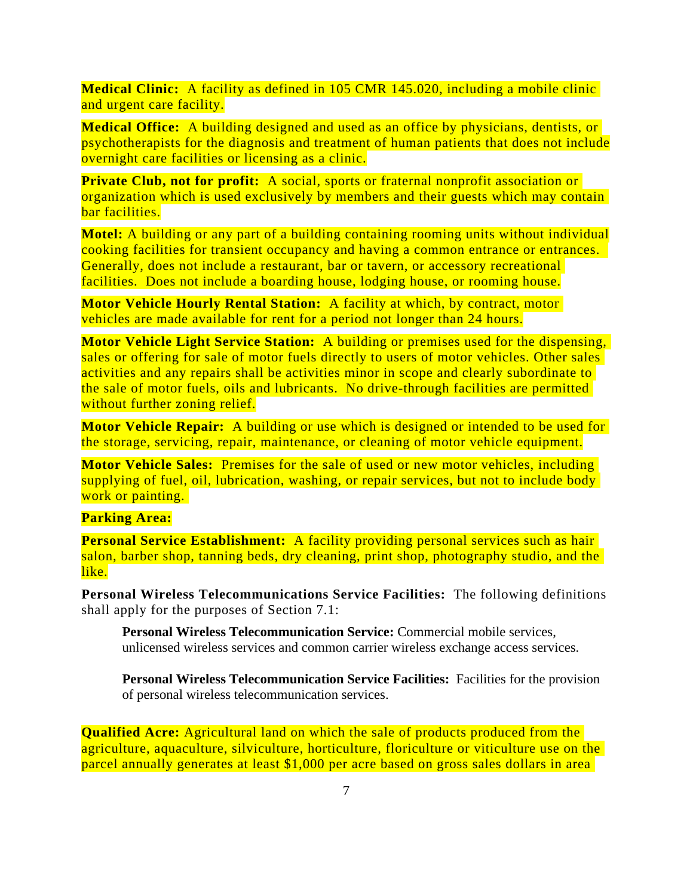**Medical Clinic:** A facility as defined in 105 CMR 145.020, including a mobile clinic and urgent care facility.

**Medical Office:** A building designed and used as an office by physicians, dentists, or psychotherapists for the diagnosis and treatment of human patients that does not include overnight care facilities or licensing as a clinic.

**Private Club, not for profit:** A social, sports or fraternal nonprofit association or organization which is used exclusively by members and their guests which may contain bar facilities.

**Motel:** A building or any part of a building containing rooming units without individual cooking facilities for transient occupancy and having a common entrance or entrances. Generally, does not include a restaurant, bar or tavern, or accessory recreational facilities. Does not include a boarding house, lodging house, or rooming house.

**Motor Vehicle Hourly Rental Station:** A facility at which, by contract, motor vehicles are made available for rent for a period not longer than 24 hours.

**Motor Vehicle Light Service Station:** A building or premises used for the dispensing, sales or offering for sale of motor fuels directly to users of motor vehicles. Other sales activities and any repairs shall be activities minor in scope and clearly subordinate to the sale of motor fuels, oils and lubricants. No drive-through facilities are permitted without further zoning relief.

**Motor Vehicle Repair:** A building or use which is designed or intended to be used for the storage, servicing, repair, maintenance, or cleaning of motor vehicle equipment.

**Motor Vehicle Sales:** Premises for the sale of used or new motor vehicles, including supplying of fuel, oil, lubrication, washing, or repair services, but not to include body work or painting.

## **Parking Area:**

**Personal Service Establishment:** A facility providing personal services such as hair salon, barber shop, tanning beds, dry cleaning, print shop, photography studio, and the like.

**Personal Wireless Telecommunications Service Facilities:** The following definitions shall apply for the purposes of Section 7.1:

**Personal Wireless Telecommunication Service:** Commercial mobile services, unlicensed wireless services and common carrier wireless exchange access services.

**Personal Wireless Telecommunication Service Facilities:** Facilities for the provision of personal wireless telecommunication services.

**Qualified Acre:** Agricultural land on which the sale of products produced from the agriculture, aquaculture, silviculture, horticulture, floriculture or viticulture use on the parcel annually generates at least \$1,000 per acre based on gross sales dollars in area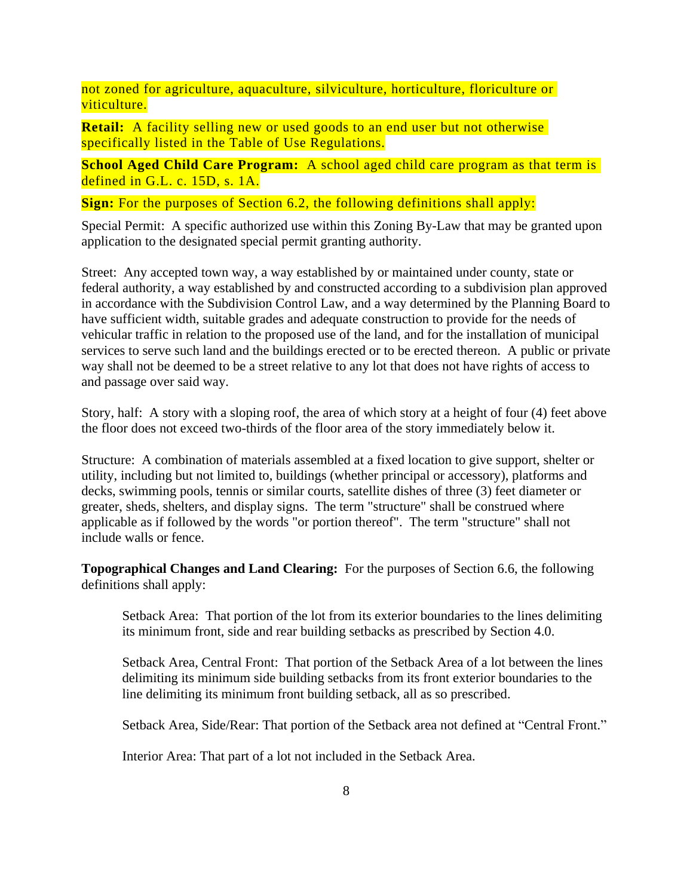not zoned for agriculture, aquaculture, silviculture, horticulture, floriculture or viticulture.

**Retail:** A facility selling new or used goods to an end user but not otherwise specifically listed in the Table of Use Regulations.

**School Aged Child Care Program:** A school aged child care program as that term is defined in G.L. c. 15D, s. 1A.

**Sign:** For the purposes of Section 6.2, the following definitions shall apply:

Special Permit: A specific authorized use within this Zoning By-Law that may be granted upon application to the designated special permit granting authority.

Street: Any accepted town way, a way established by or maintained under county, state or federal authority, a way established by and constructed according to a subdivision plan approved in accordance with the Subdivision Control Law, and a way determined by the Planning Board to have sufficient width, suitable grades and adequate construction to provide for the needs of vehicular traffic in relation to the proposed use of the land, and for the installation of municipal services to serve such land and the buildings erected or to be erected thereon. A public or private way shall not be deemed to be a street relative to any lot that does not have rights of access to and passage over said way.

Story, half: A story with a sloping roof, the area of which story at a height of four (4) feet above the floor does not exceed two-thirds of the floor area of the story immediately below it.

Structure: A combination of materials assembled at a fixed location to give support, shelter or utility, including but not limited to, buildings (whether principal or accessory), platforms and decks, swimming pools, tennis or similar courts, satellite dishes of three (3) feet diameter or greater, sheds, shelters, and display signs. The term "structure" shall be construed where applicable as if followed by the words "or portion thereof". The term "structure" shall not include walls or fence.

**Topographical Changes and Land Clearing:** For the purposes of Section 6.6, the following definitions shall apply:

Setback Area: That portion of the lot from its exterior boundaries to the lines delimiting its minimum front, side and rear building setbacks as prescribed by Section 4.0.

Setback Area, Central Front: That portion of the Setback Area of a lot between the lines delimiting its minimum side building setbacks from its front exterior boundaries to the line delimiting its minimum front building setback, all as so prescribed.

Setback Area, Side/Rear: That portion of the Setback area not defined at "Central Front."

Interior Area: That part of a lot not included in the Setback Area.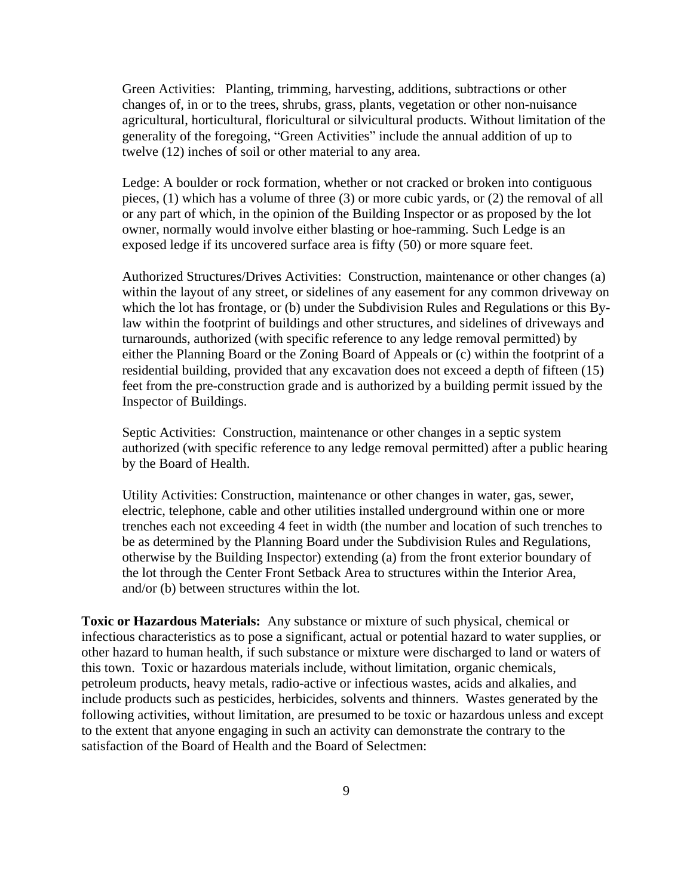Green Activities: Planting, trimming, harvesting, additions, subtractions or other changes of, in or to the trees, shrubs, grass, plants, vegetation or other non-nuisance agricultural, horticultural, floricultural or silvicultural products. Without limitation of the generality of the foregoing, "Green Activities" include the annual addition of up to twelve (12) inches of soil or other material to any area.

Ledge: A boulder or rock formation, whether or not cracked or broken into contiguous pieces, (1) which has a volume of three (3) or more cubic yards, or (2) the removal of all or any part of which, in the opinion of the Building Inspector or as proposed by the lot owner, normally would involve either blasting or hoe-ramming. Such Ledge is an exposed ledge if its uncovered surface area is fifty (50) or more square feet.

Authorized Structures/Drives Activities: Construction, maintenance or other changes (a) within the layout of any street, or sidelines of any easement for any common driveway on which the lot has frontage, or (b) under the Subdivision Rules and Regulations or this Bylaw within the footprint of buildings and other structures, and sidelines of driveways and turnarounds, authorized (with specific reference to any ledge removal permitted) by either the Planning Board or the Zoning Board of Appeals or (c) within the footprint of a residential building, provided that any excavation does not exceed a depth of fifteen (15) feet from the pre-construction grade and is authorized by a building permit issued by the Inspector of Buildings.

Septic Activities: Construction, maintenance or other changes in a septic system authorized (with specific reference to any ledge removal permitted) after a public hearing by the Board of Health.

Utility Activities: Construction, maintenance or other changes in water, gas, sewer, electric, telephone, cable and other utilities installed underground within one or more trenches each not exceeding 4 feet in width (the number and location of such trenches to be as determined by the Planning Board under the Subdivision Rules and Regulations, otherwise by the Building Inspector) extending (a) from the front exterior boundary of the lot through the Center Front Setback Area to structures within the Interior Area, and/or (b) between structures within the lot.

**Toxic or Hazardous Materials:** Any substance or mixture of such physical, chemical or infectious characteristics as to pose a significant, actual or potential hazard to water supplies, or other hazard to human health, if such substance or mixture were discharged to land or waters of this town. Toxic or hazardous materials include, without limitation, organic chemicals, petroleum products, heavy metals, radio-active or infectious wastes, acids and alkalies, and include products such as pesticides, herbicides, solvents and thinners. Wastes generated by the following activities, without limitation, are presumed to be toxic or hazardous unless and except to the extent that anyone engaging in such an activity can demonstrate the contrary to the satisfaction of the Board of Health and the Board of Selectmen: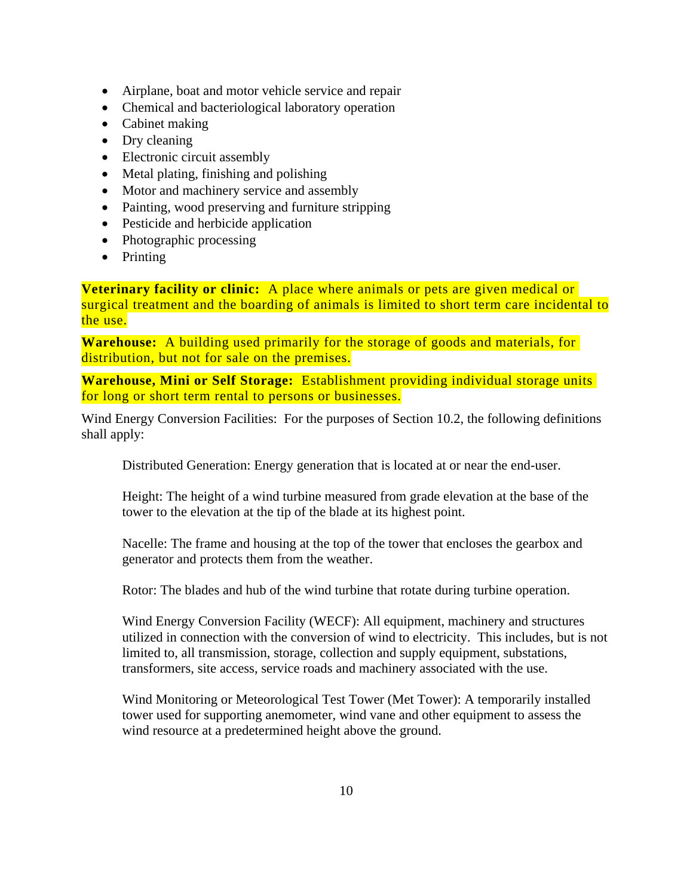- Airplane, boat and motor vehicle service and repair
- Chemical and bacteriological laboratory operation
- Cabinet making
- Dry cleaning
- Electronic circuit assembly
- Metal plating, finishing and polishing
- Motor and machinery service and assembly
- Painting, wood preserving and furniture stripping
- Pesticide and herbicide application
- Photographic processing
- Printing

**Veterinary facility or clinic:** A place where animals or pets are given medical or surgical treatment and the boarding of animals is limited to short term care incidental to the use.

**Warehouse:** A building used primarily for the storage of goods and materials, for distribution, but not for sale on the premises.

**Warehouse, Mini or Self Storage:** Establishment providing individual storage units for long or short term rental to persons or businesses.

Wind Energy Conversion Facilities: For the purposes of Section 10.2, the following definitions shall apply:

Distributed Generation: Energy generation that is located at or near the end-user.

Height: The height of a wind turbine measured from grade elevation at the base of the tower to the elevation at the tip of the blade at its highest point.

Nacelle: The frame and housing at the top of the tower that encloses the gearbox and generator and protects them from the weather.

Rotor: The blades and hub of the wind turbine that rotate during turbine operation.

Wind Energy Conversion Facility (WECF): All equipment, machinery and structures utilized in connection with the conversion of wind to electricity. This includes, but is not limited to, all transmission, storage, collection and supply equipment, substations, transformers, site access, service roads and machinery associated with the use.

Wind Monitoring or Meteorological Test Tower (Met Tower): A temporarily installed tower used for supporting anemometer, wind vane and other equipment to assess the wind resource at a predetermined height above the ground.